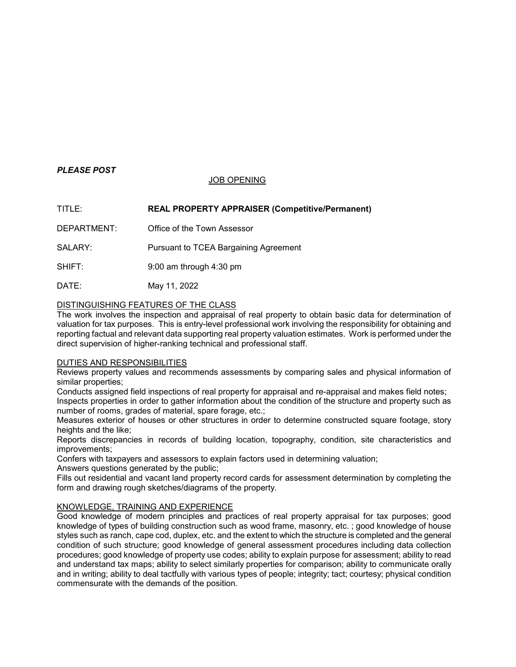# *PLEASE POST*

## JOB OPENING

## TITLE: **REAL PROPERTY APPRAISER (Competitive/Permanent)**

DEPARTMENT: Office of the Town Assessor

SALARY: Pursuant to TCEA Bargaining Agreement

SHIFT: 9:00 am through 4:30 pm

DATE: May 11, 2022

## DISTINGUISHING FEATURES OF THE CLASS

The work involves the inspection and appraisal of real property to obtain basic data for determination of valuation for tax purposes. This is entry-level professional work involving the responsibility for obtaining and reporting factual and relevant data supporting real property valuation estimates. Work is performed under the direct supervision of higher-ranking technical and professional staff.

#### DUTIES AND RESPONSIBILITIES

Reviews property values and recommends assessments by comparing sales and physical information of similar properties;

Conducts assigned field inspections of real property for appraisal and re-appraisal and makes field notes;

Inspects properties in order to gather information about the condition of the structure and property such as number of rooms, grades of material, spare forage, etc.;

Measures exterior of houses or other structures in order to determine constructed square footage, story heights and the like;

Reports discrepancies in records of building location, topography, condition, site characteristics and improvements;

Confers with taxpayers and assessors to explain factors used in determining valuation;

Answers questions generated by the public;

Fills out residential and vacant land property record cards for assessment determination by completing the form and drawing rough sketches/diagrams of the property.

#### KNOWLEDGE, TRAINING AND EXPERIENCE

Good knowledge of modern principles and practices of real property appraisal for tax purposes; good knowledge of types of building construction such as wood frame, masonry, etc. ; good knowledge of house styles such as ranch, cape cod, duplex, etc. and the extent to which the structure is completed and the general condition of such structure; good knowledge of general assessment procedures including data collection procedures; good knowledge of property use codes; ability to explain purpose for assessment; ability to read and understand tax maps; ability to select similarly properties for comparison; ability to communicate orally and in writing; ability to deal tactfully with various types of people; integrity; tact; courtesy; physical condition commensurate with the demands of the position.